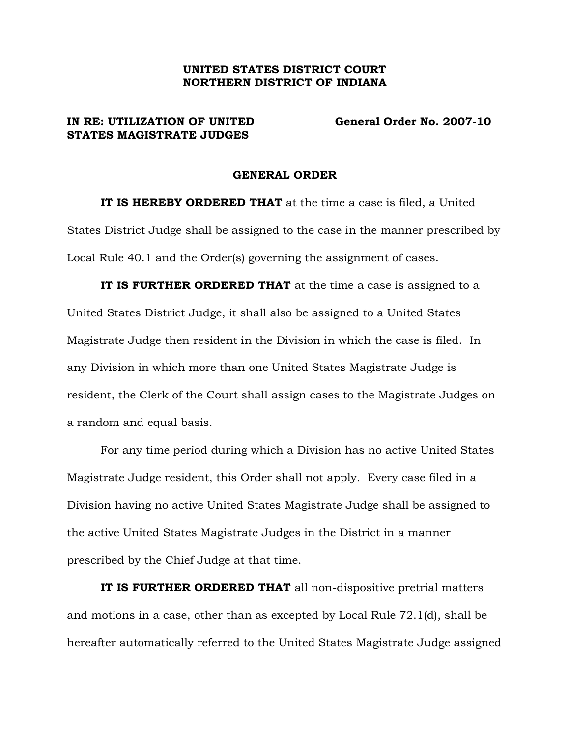## UNITED STATES DISTRICT COURT NORTHERN DISTRICT OF INDIANA

## STATES MAGISTRATE JUDGES

IN RE: UTILIZATION OF UNITED General Order No. 2007-10

## GENERAL ORDER

IT IS HEREBY ORDERED THAT at the time a case is filed, a United States District Judge shall be assigned to the case in the manner prescribed by Local Rule 40.1 and the Order(s) governing the assignment of cases.

IT IS FURTHER ORDERED THAT at the time a case is assigned to a United States District Judge, it shall also be assigned to a United States Magistrate Judge then resident in the Division in which the case is filed. In any Division in which more than one United States Magistrate Judge is resident, the Clerk of the Court shall assign cases to the Magistrate Judges on a random and equal basis.

For any time period during which a Division has no active United States Magistrate Judge resident, this Order shall not apply. Every case filed in a Division having no active United States Magistrate Judge shall be assigned to the active United States Magistrate Judges in the District in a manner prescribed by the Chief Judge at that time.

IT IS FURTHER ORDERED THAT all non-dispositive pretrial matters and motions in a case, other than as excepted by Local Rule 72.1(d), shall be hereafter automatically referred to the United States Magistrate Judge assigned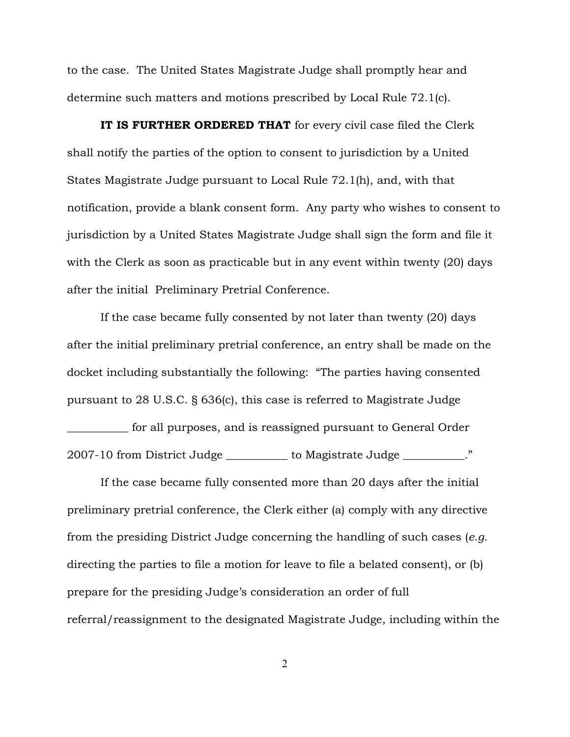to the case. The United States Magistrate Judge shall promptly hear and determine such matters and motions prescribed by Local Rule 72.1(c).

IT IS FURTHER ORDERED THAT for every civil case filed the Clerk shall notify the parties of the option to consent to jurisdiction by a United States Magistrate Judge pursuant to Local Rule 72.1(h), and, with that notification, provide a blank consent form. Any party who wishes to consent to jurisdiction by a United States Magistrate Judge shall sign the form and file it with the Clerk as soon as practicable but in any event within twenty (20) days after the initial Preliminary Pretrial Conference.

If the case became fully consented by not later than twenty (20) days after the initial preliminary pretrial conference, an entry shall be made on the docket including substantially the following: "The parties having consented pursuant to 28 U.S.C. § 636(c), this case is referred to Magistrate Judge

\_\_\_\_\_\_\_\_\_\_\_ for all purposes, and is reassigned pursuant to General Order 2007-10 from District Judge \_\_\_\_\_\_\_\_\_\_\_ to Magistrate Judge \_\_\_\_\_\_\_\_\_\_\_."

If the case became fully consented more than 20 days after the initial preliminary pretrial conference, the Clerk either (a) comply with any directive from the presiding District Judge concerning the handling of such cases (*e.g.* directing the parties to file a motion for leave to file a belated consent), or (b) prepare for the presiding Judge's consideration an order of full referral/reassignment to the designated Magistrate Judge, including within the

2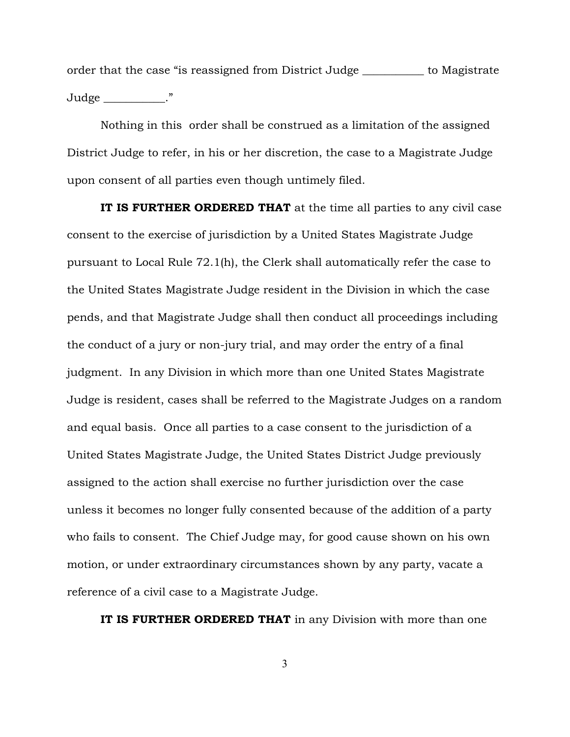order that the case "is reassigned from District Judge \_\_\_\_\_\_\_\_\_\_ to Magistrate  $Judge$   $\qquad \qquad$  ."

Nothing in this order shall be construed as a limitation of the assigned District Judge to refer, in his or her discretion, the case to a Magistrate Judge upon consent of all parties even though untimely filed.

IT IS FURTHER ORDERED THAT at the time all parties to any civil case consent to the exercise of jurisdiction by a United States Magistrate Judge pursuant to Local Rule 72.1(h), the Clerk shall automatically refer the case to the United States Magistrate Judge resident in the Division in which the case pends, and that Magistrate Judge shall then conduct all proceedings including the conduct of a jury or non-jury trial, and may order the entry of a final judgment. In any Division in which more than one United States Magistrate Judge is resident, cases shall be referred to the Magistrate Judges on a random and equal basis. Once all parties to a case consent to the jurisdiction of a United States Magistrate Judge, the United States District Judge previously assigned to the action shall exercise no further jurisdiction over the case unless it becomes no longer fully consented because of the addition of a party who fails to consent. The Chief Judge may, for good cause shown on his own motion, or under extraordinary circumstances shown by any party, vacate a reference of a civil case to a Magistrate Judge.

IT IS FURTHER ORDERED THAT in any Division with more than one

3